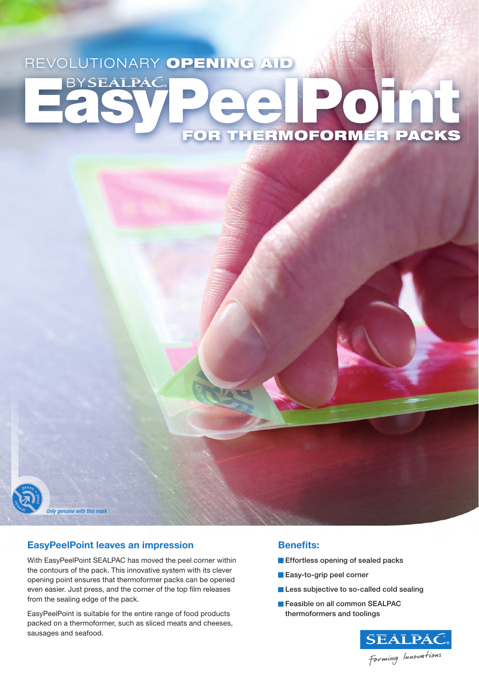# REVOLUTIONARY OPENING AID **BYSEALPAC** FOR THERMOFORMER PACKS



#### **EasyPeelPoint leaves an impression**

*Only genuine with this mark*

With EasyPeelPoint SEALPAC has moved the peel corner within the contours of the pack. This innovative system with its clever opening point ensures that thermoformer packs can be opened even easier. Just press, and the corner of the top film releases from the sealing edge of the pack.

EasyPeelPoint is suitable for the entire range of food products packed on a thermoformer, such as sliced meats and cheeses, sausages and seafood.

#### **Benefits:**

- **Effortless opening of sealed packs**
- **Easy-to-grip peel corner**
- **Less subjective to so-called cold sealing**
- **Feasible on all common SEALPAC** thermoformers and toolings